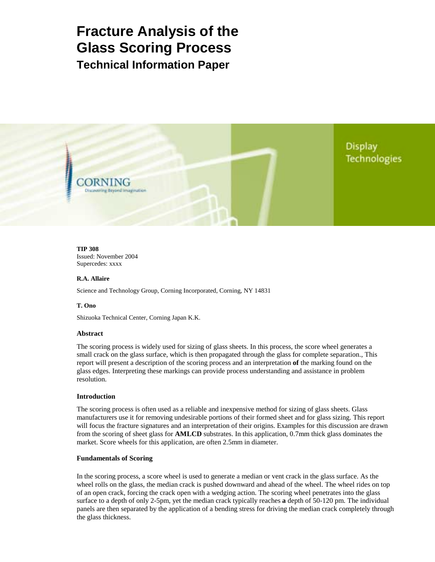# **Fracture Analysis of the Glass Scoring Process Technical Information Paper**

**Display Technologies** 

**TIP 308**  Issued: November 2004 Supercedes: xxxx

ENING **Discovering Bevond Imagination** 

# **R.A. Allaire**

Science and Technology Group, Corning Incorporated, Corning, NY 14831

# **T. Ono**

Shizuoka Technical Center, Corning Japan K.K.

## **Abstract**

The scoring process is widely used for sizing of glass sheets. In this process, the score wheel generates a small crack on the glass surface, which is then propagated through the glass for complete separation., This report will present a description of the scoring process and an interpretation **of** the marking found on the glass edges. Interpreting these markings can provide process understanding and assistance in problem resolution.

## **Introduction**

The scoring process is often used as a reliable and inexpensive method for sizing of glass sheets. Glass manufacturers use it for removing undesirable portions of their formed sheet and for glass sizing. This report will focus the fracture signatures and an interpretation of their origins. Examples for this discussion are drawn from the scoring of sheet glass for **AMLCD** substrates. In this application, 0.7mm thick glass dominates the market. Score wheels for this application, are often 2.5mm in diameter.

## **Fundamentals of Scoring**

In the scoring process, a score wheel is used to generate a median or vent crack in the glass surface. As the wheel rolls on the glass, the median crack is pushed downward and ahead of the wheel. The wheel rides on top of an open crack, forcing the crack open with a wedging action. The scoring wheel penetrates into the glass surface to a depth of only 2-5pm, yet the median crack typically reaches **a** depth of 50-120 pm. The individual panels are then separated by the application of a bending stress for driving the median crack completely through the glass thickness.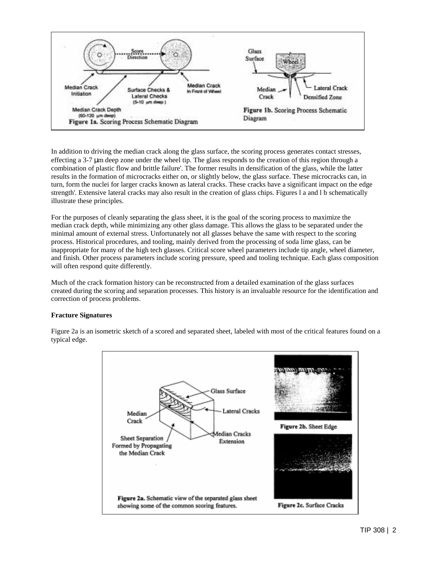

In addition to driving the median crack along the glass surface, the scoring process generates contact stresses, effecting a 3-7 µm deep zone under the wheel tip. The glass responds to the creation of this region through a combination of plastic flow and brittle failure'. The former results in densification of the glass, while the latter results in the formation of microcracks either on, or slightly below, the glass surface. These microcracks can, in turn, form the nuclei for larger cracks known as lateral cracks. These cracks have a significant impact on the edge strength'. Extensive lateral cracks may also result in the creation of glass chips. Figures l a and l b schematically illustrate these principles.

For the purposes of cleanly separating the glass sheet, it is the goal of the scoring process to maximize the median crack depth, while minimizing any other glass damage. This allows the glass to be separated under the minimal amount of external stress. Unfortunately not all glasses behave the same with respect to the scoring process. Historical procedures, and tooling, mainly derived from the processing of soda lime glass, can be inappropriate for many of the high tech glasses. Critical score wheel parameters include tip angle, wheel diameter, and finish. Other process parameters include scoring pressure, speed and tooling technique. Each glass composition will often respond quite differently.

Much of the crack formation history can be reconstructed from a detailed examination of the glass surfaces created during the scoring and separation processes. This history is an invaluable resource for the identification and correction of process problems.

# **Fracture Signatures**

Figure 2a is an isometric sketch of a scored and separated sheet, labeled with most of the critical features found on a typical edge.

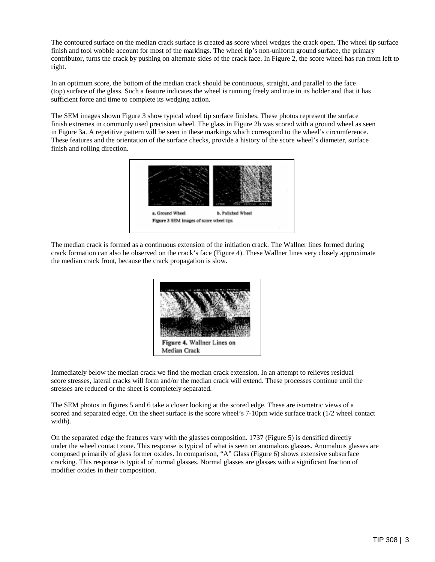The contoured surface on the median crack surface is created **as** score wheel wedges the crack open. The wheel tip surface finish and tool wobble account for most of the markings. The wheel tip's non-uniform ground surface, the primary contributor, turns the crack by pushing on alternate sides of the crack face. In Figure 2, the score wheel has run from left to right.

In an optimum score, the bottom of the median crack should be continuous, straight, and parallel to the face (top) surface of the glass. Such a feature indicates the wheel is running freely and true in its holder and that it has sufficient force and time to complete its wedging action.

The SEM images shown Figure 3 show typical wheel tip surface finishes. These photos represent the surface finish extremes in commonly used precision wheel. The glass in Figure 2b was scored with a ground wheel as seen in Figure 3a. A repetitive pattern will be seen in these markings which correspond to the wheel's circumference. These features and the orientation of the surface checks, provide a history of the score wheel's diameter, surface finish and rolling direction.



The median crack is formed as a continuous extension of the initiation crack. The Wallner lines formed during crack formation can also be observed on the crack's face (Figure 4). These Wallner lines very closely approximate the median crack front, because the crack propagation is slow.



Immediately below the median crack we find the median crack extension. In an attempt to relieves residual score stresses, lateral cracks will form and/or the median crack will extend. These processes continue until the stresses are reduced or the sheet is completely separated.

The SEM photos in figures 5 and 6 take a closer looking at the scored edge. These are isometric views of a scored and separated edge. On the sheet surface is the score wheel's 7-10pm wide surface track (1/2 wheel contact width).

On the separated edge the features vary with the glasses composition. 1737 (Figure 5) is densified directly under the wheel contact zone. This response is typical of what is seen on anomalous glasses. Anomalous glasses are composed primarily of glass former oxides. In comparison, "A" Glass (Figure 6) shows extensive subsurface cracking. This response is typical of normal glasses. Normal glasses are glasses with a significant fraction of modifier oxides in their composition.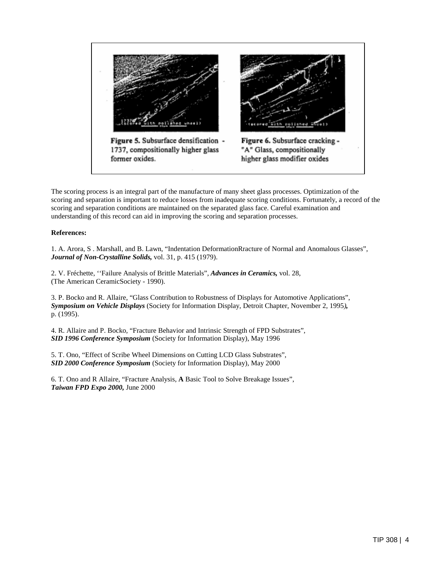

The scoring process is an integral part of the manufacture of many sheet glass processes. Optimization of the scoring and separation is important to reduce losses from inadequate scoring conditions. Fortunately, a record of the scoring and separation conditions are maintained on the separated glass face. Careful examination and understanding of this record can aid in improving the scoring and separation processes.

# **References:**

1. A. Arora, S . Marshall, and B. Lawn, "Indentation DeformationRracture of Normal and Anomalous Glasses", *Journal of Non-Crystalline Solids,* vol. 31, p. 415 (1979).

2. V. Fréchette, ''Failure Analysis of Brittle Materials", *Advances in Ceramics,* vol. 28, (The American CeramicSociety - 1990).

3. P. Bocko and R. Allaire, "Glass Contribution to Robustness of Displays for Automotive Applications", *Symposium on Vehicle Displays* (Society for Information Display, Detroit Chapter, November 2, 1995*),*  p. (1995).

4. R. Allaire and P. Bocko, "Fracture Behavior and Intrinsic Strength of FPD Substrates", *SID 1996 Conference Symposium* (Society for Information Display), May 1996

5. T. Ono, "Effect of Scribe Wheel Dimensions on Cutting LCD Glass Substrates", *SID 2000 Conference Symposium* (Society for Information Display), May 2000

6. T. Ono and R Allaire, "Fracture Analysis, **A** Basic Tool to Solve Breakage Issues", *Taiwan FPD Expo 2000,* June 2000